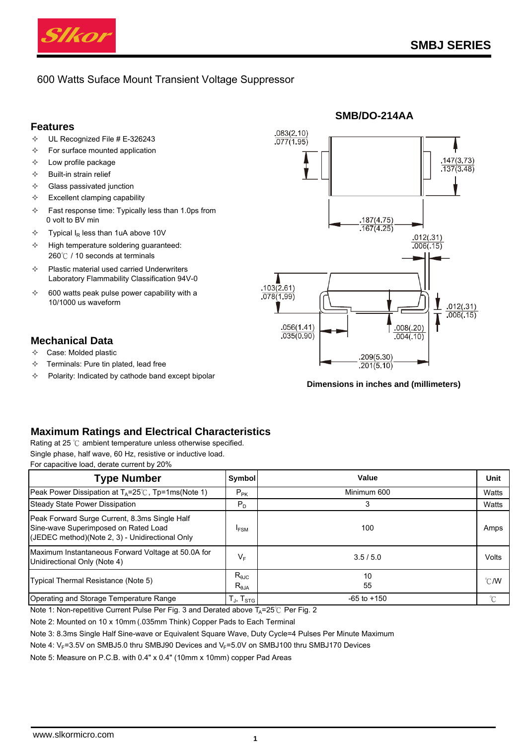

# 600 Watts Suface Mount Transient Voltage Suppressor

#### **Features**

- $\div$  UL Recognized File # E-326243
- $\Leftrightarrow$  For surface mounted application
- $\div$  Low profile package
- $\Leftrightarrow$  Built-in strain relief
- $\Leftrightarrow$  Glass passivated junction
- $\div$  Excellent clamping capability
- $\Diamond$  Fast response time: Typically less than 1.0ps from 0 volt to BV min
- $\div$  Typical I<sub>R</sub> less than 1uA above 10V
- $\div$  High temperature soldering guaranteed: 260℃ / 10 seconds at terminals
- $\Diamond$  Plastic material used carried Underwriters Laboratory Flammability Classification 94V-0
- $\div$  600 watts peak pulse power capability with a 10/1000 us waveform

# **Mechanical Data**

- $\Leftrightarrow$  Case: Molded plastic
- $\Diamond$  Terminals: Pure tin plated, lead free
- $\Diamond$  Polarity: Indicated by cathode band except bipolar



#### **Dimensions in inches and (millimeters)**

## **Maximum Ratings and Electrical Characteristics**

Rating at 25 ℃ ambient temperature unless otherwise specified. Single phase, half wave, 60 Hz, resistive or inductive load. For capacitive load, derate current by 20%

| <b>Type Number</b>                                                                                                                       | <b>Symbol</b>                                            | Value           | Unit           |
|------------------------------------------------------------------------------------------------------------------------------------------|----------------------------------------------------------|-----------------|----------------|
| Peak Power Dissipation at $T_A = 25^\circ \text{C}$ , Tp=1ms(Note 1)                                                                     | $P_{PK}$                                                 | Minimum 600     | Watts          |
| <b>Steady State Power Dissipation</b>                                                                                                    | $P_D$                                                    | 3               | Watts          |
| Peak Forward Surge Current, 8.3ms Single Half<br>Sine-wave Superimposed on Rated Load<br>(JEDEC method)(Note 2, 3) - Unidirectional Only | <b>FSM</b>                                               | 100             | Amps           |
| Maximum Instantaneous Forward Voltage at 50.0A for<br>Unidirectional Only (Note 4)                                                       | V⊧                                                       | 3.5/5.0         | Volts          |
| Typical Thermal Resistance (Note 5)                                                                                                      |                                                          | 10<br>55        | $^{\circ}$ C/W |
| Operating and Storage Temperature Range                                                                                                  | $\mathsf{\Gamma}_\mathsf{J},\,\mathsf{T}_\mathsf{STG}$ , | $-65$ to $+150$ | $^{\circ}C$    |

Note 1: Non-repetitive Current Pulse Per Fig. 3 and Derated above  $T_A=25^\circ\text{C}$  Per Fig. 2

Note 2: Mounted on 10 x 10mm (.035mm Think) Copper Pads to Each Terminal

Note 3: 8.3ms Single Half Sine-wave or Equivalent Square Wave, Duty Cycle=4 Pulses Per Minute Maximum

Note 4:  $V_F$ =3.5V on SMBJ5.0 thru SMBJ90 Devices and  $V_F$ =5.0V on SMBJ100 thru SMBJ170 Devices

Note 5: Measure on P.C.B. with 0.4" x 0.4" (10mm x 10mm) copper Pad Areas

## **SMB/DO-214AA**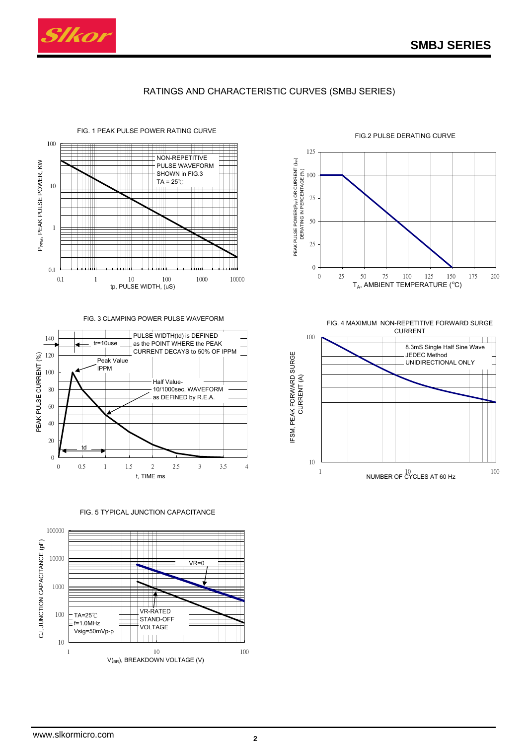

### RATINGS AND CHARACTERISTIC CURVES (SMBJ SERIES)



FIG. 3 CLAMPING POWER PULSE WAVEFORM



FIG. 5 TYPICAL JUNCTION CAPACITANCE





FIG. 4 MAXIMUM NON-REPETITIVE FORWARD SURGE

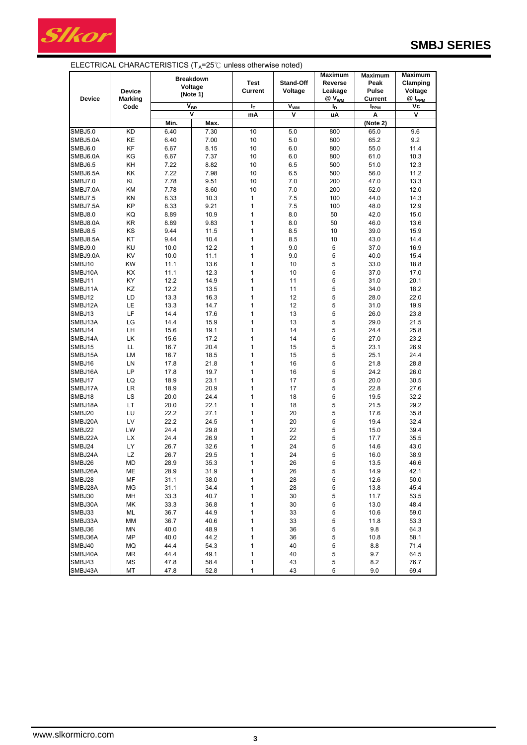

| <b>Device</b> | <b>Device</b><br><b>Marking</b> | $LLEU$ , $NU$ , $L$ or $NU$ , $U$ , $L$ , $NU$ , $U$ , $V$<br><b>Breakdown</b><br>Voltage<br>(Note 1)<br>$\overline{\mathsf{V}}_{\mathsf{BR}}$ |      | $250$ anness officiations instead<br><b>Test</b><br>Current | Stand-Off<br>Voltage | <b>Maximum</b><br>Reverse<br>Leakage<br>@ V <sub>WM</sub> | <b>Maximum</b><br>Peak<br>Pulse<br><b>Current</b> | <b>Maximum</b><br>Clamping<br>Voltage<br>$@$ $I_{PPM}$ |
|---------------|---------------------------------|------------------------------------------------------------------------------------------------------------------------------------------------|------|-------------------------------------------------------------|----------------------|-----------------------------------------------------------|---------------------------------------------------|--------------------------------------------------------|
|               | Code                            |                                                                                                                                                |      | $I_T$                                                       | $\overline{V_{WM}}$  | Iъ                                                        | I <sub>PPM</sub>                                  | Vc                                                     |
|               |                                 |                                                                                                                                                |      | mA                                                          | ۷                    | uA                                                        | Α                                                 | ۷                                                      |
|               |                                 | Min.                                                                                                                                           | Max. |                                                             |                      |                                                           | (Note 2)                                          |                                                        |
| SMBJ5.0       | $\overline{KD}$                 | 6.40                                                                                                                                           | 7.30 | 10                                                          | 5.0                  | 800                                                       | 65.0                                              | 9.6                                                    |
| SMBJ5.0A      | KE                              | 6.40                                                                                                                                           | 7.00 | 10                                                          | 5.0                  | 800                                                       | 65.2                                              | 9.2                                                    |
| SMBJ6.0       | KF                              | 6.67                                                                                                                                           | 8.15 | 10                                                          | 6.0                  | 800                                                       | 55.0                                              | 11.4                                                   |
| SMBJ6.0A      | ΚG                              | 6.67                                                                                                                                           | 7.37 | 10                                                          | 6.0                  | 800                                                       | 61.0                                              | 10.3                                                   |
| SMBJ6.5       | KΗ                              | 7.22                                                                                                                                           | 8.82 | 10                                                          | 6.5                  | 500                                                       | 51.0                                              | 12.3                                                   |
| SMBJ6.5A      | KΚ                              | 7.22                                                                                                                                           | 7.98 | 10                                                          | 6.5                  | 500                                                       | 56.0                                              | 11.2                                                   |
| SMBJ7.0       | KL                              | 7.78                                                                                                                                           | 9.51 | 10                                                          | 7.0                  | 200                                                       | 47.0                                              | 13.3                                                   |
| SMBJ7.0A      | KM                              | 7.78                                                                                                                                           | 8.60 | 10                                                          | 7.0                  | 200                                                       | 52.0                                              | 12.0                                                   |
| SMBJ7.5       | ΚN                              | 8.33                                                                                                                                           | 10.3 | $\mathbf{1}$                                                | 7.5                  | 100                                                       | 44.0                                              | 14.3                                                   |
| SMBJ7.5A      | KP                              | 8.33                                                                                                                                           | 9.21 | $\mathbf{1}$                                                | 7.5                  | 100                                                       | 48.0                                              | 12.9                                                   |
| SMBJ8.0       | ΚQ                              | 8.89                                                                                                                                           | 10.9 | $\mathbf{1}$                                                | 8.0                  | 50                                                        | 42.0                                              | 15.0                                                   |
| SMBJ8.0A      | ΚR                              | 8.89                                                                                                                                           | 9.83 | $\mathbf{1}$                                                | 8.0                  | 50                                                        | 46.0                                              | 13.6                                                   |
| SMBJ8.5       | ΚS                              | 9.44                                                                                                                                           | 11.5 | $\mathbf{1}$                                                | 8.5                  | 10                                                        | 39.0                                              | 15.9                                                   |
| SMBJ8.5A      | KT                              | 9.44                                                                                                                                           | 10.4 | $\mathbf{1}$                                                | 8.5                  | 10                                                        | 43.0                                              | 14.4                                                   |
| SMBJ9.0       | KU                              | 10.0                                                                                                                                           | 12.2 | $\mathbf{1}$                                                | 9.0                  | 5                                                         | 37.0                                              | 16.9                                                   |
| SMBJ9.0A      | KV                              | 10.0                                                                                                                                           | 11.1 | $\mathbf{1}$                                                | 9.0                  | 5                                                         | 40.0                                              | 15.4                                                   |
| SMBJ10        | <b>KW</b>                       | 11.1                                                                                                                                           | 13.6 | $\mathbf{1}$                                                | 10                   | 5                                                         | 33.0                                              | 18.8                                                   |
| SMBJ10A       | KX                              | 11.1                                                                                                                                           | 12.3 | $\mathbf{1}$                                                | 10                   | 5                                                         | 37.0                                              | 17.0                                                   |
| SMBJ11        | KY                              | 12.2                                                                                                                                           | 14.9 | $\mathbf{1}$                                                | 11                   | 5                                                         | 31.0                                              | 20.1                                                   |
| SMBJ11A       | KZ                              | 12.2                                                                                                                                           | 13.5 | $\mathbf{1}$                                                | 11                   | 5                                                         | 34.0                                              | 18.2                                                   |
| SMBJ12        | LD                              | 13.3                                                                                                                                           | 16.3 | $\mathbf{1}$                                                | 12                   | 5                                                         | 28.0                                              | 22.0                                                   |
| SMBJ12A       | LE                              | 13.3                                                                                                                                           | 14.7 | $\mathbf{1}$                                                | 12                   | 5                                                         | 31.0                                              | 19.9                                                   |
| SMBJ13        | LF                              | 14.4                                                                                                                                           | 17.6 | $\mathbf{1}$                                                | 13                   | 5                                                         | 26.0                                              | 23.8                                                   |
| SMBJ13A       | LG                              | 14.4                                                                                                                                           | 15.9 | $\mathbf{1}$                                                | 13                   | 5                                                         | 29.0                                              | 21.5                                                   |
| SMBJ14        | LН                              | 15.6                                                                                                                                           | 19.1 | $\mathbf{1}$                                                | 14                   | 5                                                         | 24.4                                              | 25.8                                                   |
| SMBJ14A       | LK                              | 15.6                                                                                                                                           | 17.2 | $\mathbf{1}$                                                | 14                   | 5                                                         | 27.0                                              | 23.2                                                   |
| SMBJ15        | LL                              | 16.7                                                                                                                                           | 20.4 | $\mathbf{1}$                                                | 15                   | 5                                                         | 23.1                                              | 26.9                                                   |
| SMBJ15A       | LM                              | 16.7                                                                                                                                           | 18.5 | $\mathbf{1}$                                                | 15                   | 5                                                         | 25.1                                              | 24.4                                                   |
| SMBJ16        | LN                              | 17.8                                                                                                                                           | 21.8 | $\mathbf{1}$                                                | 16                   | 5                                                         | 21.8                                              | 28.8                                                   |
| SMBJ16A       | LP                              | 17.8                                                                                                                                           | 19.7 | $\mathbf{1}$                                                | 16                   | 5                                                         | 24.2                                              | 26.0                                                   |
| SMBJ17        | LQ                              | 18.9                                                                                                                                           | 23.1 | $\mathbf{1}$                                                | 17                   | 5                                                         | 20.0                                              | 30.5                                                   |
| SMBJ17A       | LR                              | 18.9                                                                                                                                           | 20.9 | $\mathbf{1}$                                                | 17                   | 5                                                         | 22.8                                              | 27.6                                                   |
| SMBJ18        | LS                              | 20.0                                                                                                                                           | 24.4 | $\mathbf{1}$                                                | 18                   | 5                                                         | 19.5                                              | 32.2                                                   |
| SMBJ18A       | LT                              | 20.0                                                                                                                                           | 22.1 | $\mathbf{1}$                                                | 18                   | 5                                                         | 21.5                                              | 29.2                                                   |
| SMBJ20        | LU                              | 22.2                                                                                                                                           | 27.1 | $\mathbf{1}$                                                | 20                   | 5                                                         | 17.6                                              | 35.8                                                   |
| SMBJ20A       | LV                              | 22.2                                                                                                                                           | 24.5 | $\mathbf{1}$                                                | 20                   | 5                                                         | 19.4                                              | 32.4                                                   |
| SMBJ22        | LW                              | 24.4                                                                                                                                           | 29.8 | $\mathbf{1}$                                                | 22                   | 5                                                         | 15.0                                              | 39.4                                                   |
| SMBJ22A       | LX                              | 24.4                                                                                                                                           | 26.9 | $\mathbf{1}$                                                | 22                   | 5                                                         | 17.7                                              | 35.5                                                   |
| SMBJ24        | LY                              | 26.7                                                                                                                                           | 32.6 | $\mathbf{1}$                                                | 24                   | 5                                                         | 14.6                                              | 43.0                                                   |
| SMBJ24A       | LZ                              | 26.7                                                                                                                                           | 29.5 | 1                                                           | 24                   | 5                                                         | 16.0                                              | 38.9                                                   |
| SMBJ26        | MD                              | 28.9                                                                                                                                           | 35.3 | 1                                                           | 26                   | 5                                                         | 13.5                                              | 46.6                                                   |
| SMBJ26A       | МE                              | 28.9                                                                                                                                           | 31.9 | 1                                                           | 26                   | 5                                                         | 14.9                                              | 42.1                                                   |
| SMBJ28        | ΜF                              | 31.1                                                                                                                                           | 38.0 | 1                                                           | 28                   | 5                                                         | 12.6                                              | 50.0                                                   |
| SMBJ28A       | ΜG                              | 31.1                                                                                                                                           | 34.4 | 1                                                           | 28                   | 5                                                         | 13.8                                              | 45.4                                                   |
| SMBJ30        | MН                              | 33.3                                                                                                                                           | 40.7 | 1                                                           | 30                   | 5                                                         | 11.7                                              | 53.5                                                   |
| SMBJ30A       | МK                              | 33.3                                                                                                                                           | 36.8 | 1                                                           | 30                   | 5                                                         | 13.0                                              | 48.4                                                   |
| SMBJ33        | ML                              | 36.7                                                                                                                                           | 44.9 | 1                                                           | 33                   | $\mathbf 5$                                               | 10.6                                              | 59.0                                                   |
| SMBJ33A       | МM                              | 36.7                                                                                                                                           | 40.6 | 1                                                           | 33                   | 5                                                         | 11.8                                              | 53.3                                                   |
| SMBJ36        | ΜN                              | 40.0                                                                                                                                           | 48.9 | 1                                                           | 36                   | 5                                                         | 9.8                                               | 64.3                                                   |
| SMBJ36A       | ΜP                              | 40.0                                                                                                                                           | 44.2 | 1                                                           | 36                   | 5                                                         | 10.8                                              | 58.1                                                   |
| SMBJ40        | ΜQ                              | 44.4                                                                                                                                           | 54.3 | 1                                                           | 40                   | 5                                                         | 8.8                                               | 71.4                                                   |
| SMBJ40A       | ΜR                              | 44.4                                                                                                                                           | 49.1 | 1                                                           | 40                   | 5                                                         | 9.7                                               | 64.5                                                   |
| SMBJ43        | МS                              | 47.8                                                                                                                                           | 58.4 | 1                                                           | 43                   | 5                                                         | 8.2                                               | 76.7                                                   |
| SMBJ43A       | МT                              | 47.8                                                                                                                                           | 52.8 | 1                                                           | 43                   | 5                                                         | 9.0                                               | 69.4                                                   |